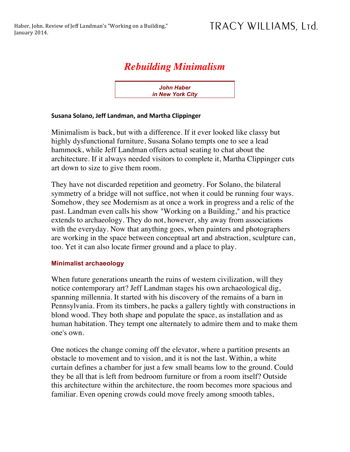## *Rebuilding Minimalism*

*John Haber in New York City*

## **Susana Solano, Jeff Landman, and Martha Clippinger**

Minimalism is back, but with a difference. If it ever looked like classy but highly dysfunctional furniture, Susana Solano tempts one to see a lead hammock, while Jeff Landman offers actual seating to chat about the architecture. If it always needed visitors to complete it, Martha Clippinger cuts art down to size to give them room.

They have not discarded repetition and geometry. For Solano, the bilateral symmetry of a bridge will not suffice, not when it could be running four ways. Somehow, they see Modernism as at once a work in progress and a relic of the past. Landman even calls his show "Working on a Building," and his practice extends to archaeology. They do not, however, shy away from associations with the everyday. Now that anything goes, when painters and photographers are working in the space between conceptual art and abstraction, sculpture can, too. Yet it can also locate firmer ground and a place to play.

## **Minimalist archaeology**

When future generations unearth the ruins of western civilization, will they notice contemporary art? Jeff Landman stages his own archaeological dig, spanning millennia. It started with his discovery of the remains of a barn in Pennsylvania. From its timbers, he packs a gallery tightly with constructions in blond wood. They both shape and populate the space, as installation and as human habitation. They tempt one alternately to admire them and to make them one's own.

One notices the change coming off the elevator, where a partition presents an obstacle to movement and to vision, and it is not the last. Within, a white curtain defines a chamber for just a few small beams low to the ground. Could they be all that is left from bedroom furniture or from a room itself? Outside this architecture within the architecture, the room becomes more spacious and familiar. Even opening crowds could move freely among smooth tables,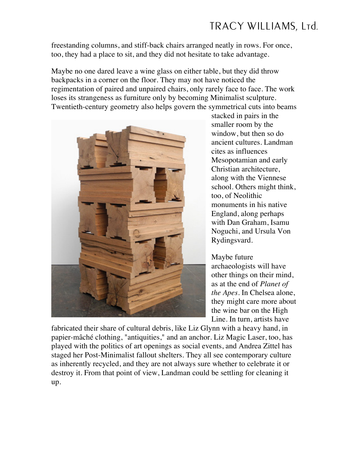## TRACY WILLIAMS, Ltd.

freestanding columns, and stiff-back chairs arranged neatly in rows. For once, too, they had a place to sit, and they did not hesitate to take advantage.

Maybe no one dared leave a wine glass on either table, but they did throw backpacks in a corner on the floor. They may not have noticed the regimentation of paired and unpaired chairs, only rarely face to face. The work loses its strangeness as furniture only by becoming Minimalist sculpture. Twentieth-century geometry also helps govern the symmetrical cuts into beams



stacked in pairs in the smaller room by the window, but then so do ancient cultures. Landman cites as influences Mesopotamian and early Christian architecture, along with the Viennese school. Others might think, too, of Neolithic monuments in his native England, along perhaps with Dan Graham, Isamu Noguchi, and Ursula Von Rydingsvard.

Maybe future archaeologists will have other things on their mind, as at the end of *Planet of the Apes*. In Chelsea alone, they might care more about the wine bar on the High Line. In turn, artists have

fabricated their share of cultural debris, like Liz Glynn with a heavy hand, in papier-mâché clothing, "antiquities," and an anchor. Liz Magic Laser, too, has played with the politics of art openings as social events, and Andrea Zittel has staged her Post-Minimalist fallout shelters. They all see contemporary culture as inherently recycled, and they are not always sure whether to celebrate it or destroy it. From that point of view, Landman could be settling for cleaning it up.